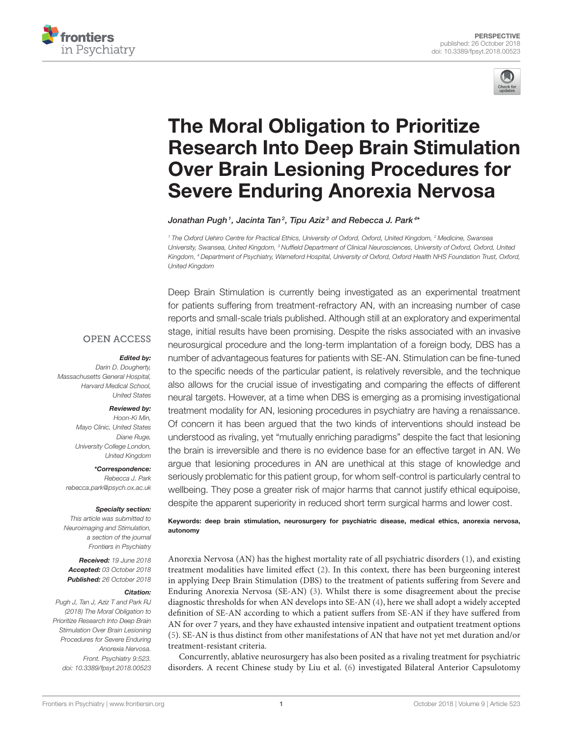



# The Moral Obligation to Prioritize [Research Into Deep Brain Stimulation](https://www.frontiersin.org/articles/10.3389/fpsyt.2018.00523/full) Over Brain Lesioning Procedures for Severe Enduring Anorexia Nervosa

[Jonathan Pugh](http://loop.frontiersin.org/people/574372/overview) $^1$ , Jacinta Tan $^2$ , [Tipu Aziz](http://loop.frontiersin.org/people/118064/overview) $^3$  and [Rebecca J. Park](http://loop.frontiersin.org/people/172659/overview) $^{4\star}$ 

*<sup>1</sup> The Oxford Uehiro Centre for Practical Ethics, University of Oxford, Oxford, United Kingdom, <sup>2</sup> Medicine, Swansea University, Swansea, United Kingdom, <sup>3</sup> Nuffield Department of Clinical Neurosciences, University of Oxford, Oxford, United Kingdom, <sup>4</sup> Department of Psychiatry, Warneford Hospital, University of Oxford, Oxford Health NHS Foundation Trust, Oxford, United Kingdom*

**OPEN ACCESS** 

#### Edited by:

*Darin D. Dougherty, Massachusetts General Hospital, Harvard Medical School, United States*

#### Reviewed by:

*Hoon-Ki Min, Mayo Clinic, United States Diane Ruge, University College London, United Kingdom*

\*Correspondence: *Rebecca J. Park [rebecca.park@psych.ox.ac.uk](mailto:rebecca.park@psych.ox.ac.uk)*

#### Specialty section:

*This article was submitted to Neuroimaging and Stimulation, a section of the journal Frontiers in Psychiatry*

Received: *19 June 2018* Accepted: *03 October 2018* Published: *26 October 2018*

#### Citation:

*Pugh J, Tan J, Aziz T and Park RJ (2018) The Moral Obligation to Prioritize Research Into Deep Brain Stimulation Over Brain Lesioning Procedures for Severe Enduring Anorexia Nervosa. Front. Psychiatry 9:523. doi: [10.3389/fpsyt.2018.00523](https://doi.org/10.3389/fpsyt.2018.00523)* Deep Brain Stimulation is currently being investigated as an experimental treatment for patients suffering from treatment-refractory AN, with an increasing number of case reports and small-scale trials published. Although still at an exploratory and experimental stage, initial results have been promising. Despite the risks associated with an invasive neurosurgical procedure and the long-term implantation of a foreign body, DBS has a number of advantageous features for patients with SE-AN. Stimulation can be fine-tuned to the specific needs of the particular patient, is relatively reversible, and the technique also allows for the crucial issue of investigating and comparing the effects of different neural targets. However, at a time when DBS is emerging as a promising investigational treatment modality for AN, lesioning procedures in psychiatry are having a renaissance. Of concern it has been argued that the two kinds of interventions should instead be understood as rivaling, yet "mutually enriching paradigms" despite the fact that lesioning the brain is irreversible and there is no evidence base for an effective target in AN. We argue that lesioning procedures in AN are unethical at this stage of knowledge and seriously problematic for this patient group, for whom self-control is particularly central to wellbeing. They pose a greater risk of major harms that cannot justify ethical equipoise, despite the apparent superiority in reduced short term surgical harms and lower cost.

Keywords: deep brain stimulation, neurosurgery for psychiatric disease, medical ethics, anorexia nervosa, autonomy

Anorexia Nervosa (AN) has the highest mortality rate of all psychiatric disorders [\(1\)](#page-3-0), and existing treatment modalities have limited effect [\(2\)](#page-3-1). In this context, there has been burgeoning interest in applying Deep Brain Stimulation (DBS) to the treatment of patients suffering from Severe and Enduring Anorexia Nervosa (SE-AN) [\(3\)](#page-3-2). Whilst there is some disagreement about the precise diagnostic thresholds for when AN develops into SE-AN [\(4\)](#page-3-3), here we shall adopt a widely accepted definition of SE-AN according to which a patient suffers from SE-AN if they have suffered from AN for over 7 years, and they have exhausted intensive inpatient and outpatient treatment options [\(5\)](#page-3-4). SE-AN is thus distinct from other manifestations of AN that have not yet met duration and/or treatment-resistant criteria.

Concurrently, ablative neurosurgery has also been posited as a rivaling treatment for psychiatric disorders. A recent Chinese study by Liu et al. [\(6\)](#page-3-5) investigated Bilateral Anterior Capsulotomy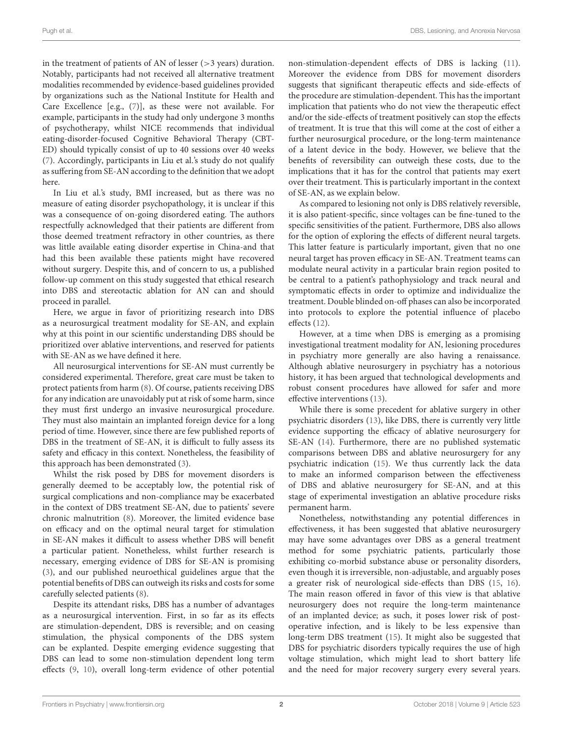in the treatment of patients of AN of lesser  $(>3$  years) duration. Notably, participants had not received all alternative treatment modalities recommended by evidence-based guidelines provided by organizations such as the National Institute for Health and Care Excellence [e.g., [\(7\)](#page-3-6)], as these were not available. For example, participants in the study had only undergone 3 months of psychotherapy, whilst NICE recommends that individual eating-disorder-focused Cognitive Behavioral Therapy (CBT-ED) should typically consist of up to 40 sessions over 40 weeks [\(7\)](#page-3-6). Accordingly, participants in Liu et al.'s study do not qualify as suffering from SE-AN according to the definition that we adopt here.

In Liu et al.'s study, BMI increased, but as there was no measure of eating disorder psychopathology, it is unclear if this was a consequence of on-going disordered eating. The authors respectfully acknowledged that their patients are different from those deemed treatment refractory in other countries, as there was little available eating disorder expertise in China-and that had this been available these patients might have recovered without surgery. Despite this, and of concern to us, a published follow-up comment on this study suggested that ethical research into DBS and stereotactic ablation for AN can and should proceed in parallel.

Here, we argue in favor of prioritizing research into DBS as a neurosurgical treatment modality for SE-AN, and explain why at this point in our scientific understanding DBS should be prioritized over ablative interventions, and reserved for patients with SE-AN as we have defined it here.

All neurosurgical interventions for SE-AN must currently be considered experimental. Therefore, great care must be taken to protect patients from harm [\(8\)](#page-3-7). Of course, patients receiving DBS for any indication are unavoidably put at risk of some harm, since they must first undergo an invasive neurosurgical procedure. They must also maintain an implanted foreign device for a long period of time. However, since there are few published reports of DBS in the treatment of SE-AN, it is difficult to fully assess its safety and efficacy in this context. Nonetheless, the feasibility of this approach has been demonstrated [\(3\)](#page-3-2).

Whilst the risk posed by DBS for movement disorders is generally deemed to be acceptably low, the potential risk of surgical complications and non-compliance may be exacerbated in the context of DBS treatment SE-AN, due to patients' severe chronic malnutrition [\(8\)](#page-3-7). Moreover, the limited evidence base on efficacy and on the optimal neural target for stimulation in SE-AN makes it difficult to assess whether DBS will benefit a particular patient. Nonetheless, whilst further research is necessary, emerging evidence of DBS for SE-AN is promising [\(3\)](#page-3-2), and our published neuroethical guidelines argue that the potential benefits of DBS can outweigh its risks and costs for some carefully selected patients [\(8\)](#page-3-7).

Despite its attendant risks, DBS has a number of advantages as a neurosurgical intervention. First, in so far as its effects are stimulation-dependent, DBS is reversible; and on ceasing stimulation, the physical components of the DBS system can be explanted. Despite emerging evidence suggesting that DBS can lead to some non-stimulation dependent long term effects [\(9,](#page-3-8) [10\)](#page-3-9), overall long-term evidence of other potential non-stimulation-dependent effects of DBS is lacking [\(11\)](#page-3-10). Moreover the evidence from DBS for movement disorders suggests that significant therapeutic effects and side-effects of the procedure are stimulation-dependent. This has the important implication that patients who do not view the therapeutic effect and/or the side-effects of treatment positively can stop the effects of treatment. It is true that this will come at the cost of either a further neurosurgical procedure, or the long-term maintenance of a latent device in the body. However, we believe that the benefits of reversibility can outweigh these costs, due to the implications that it has for the control that patients may exert over their treatment. This is particularly important in the context of SE-AN, as we explain below.

As compared to lesioning not only is DBS relatively reversible, it is also patient-specific, since voltages can be fine-tuned to the specific sensitivities of the patient. Furthermore, DBS also allows for the option of exploring the effects of different neural targets. This latter feature is particularly important, given that no one neural target has proven efficacy in SE-AN. Treatment teams can modulate neural activity in a particular brain region posited to be central to a patient's pathophysiology and track neural and symptomatic effects in order to optimize and individualize the treatment. Double blinded on-off phases can also be incorporated into protocols to explore the potential influence of placebo effects [\(12\)](#page-3-11).

However, at a time when DBS is emerging as a promising investigational treatment modality for AN, lesioning procedures in psychiatry more generally are also having a renaissance. Although ablative neurosurgery in psychiatry has a notorious history, it has been argued that technological developments and robust consent procedures have allowed for safer and more effective interventions [\(13\)](#page-3-12).

While there is some precedent for ablative surgery in other psychiatric disorders [\(13\)](#page-3-12), like DBS, there is currently very little evidence supporting the efficacy of ablative neurosurgery for SE-AN [\(14\)](#page-3-13). Furthermore, there are no published systematic comparisons between DBS and ablative neurosurgery for any psychiatric indication [\(15\)](#page-3-14). We thus currently lack the data to make an informed comparison between the effectiveness of DBS and ablative neurosurgery for SE-AN, and at this stage of experimental investigation an ablative procedure risks permanent harm.

Nonetheless, notwithstanding any potential differences in effectiveness, it has been suggested that ablative neurosurgery may have some advantages over DBS as a general treatment method for some psychiatric patients, particularly those exhibiting co-morbid substance abuse or personality disorders, even though it is irreversible, non-adjustable, and arguably poses a greater risk of neurological side-effects than DBS [\(15,](#page-3-14) [16\)](#page-3-15). The main reason offered in favor of this view is that ablative neurosurgery does not require the long-term maintenance of an implanted device; as such, it poses lower risk of postoperative infection, and is likely to be less expensive than long-term DBS treatment [\(15\)](#page-3-14). It might also be suggested that DBS for psychiatric disorders typically requires the use of high voltage stimulation, which might lead to short battery life and the need for major recovery surgery every several years.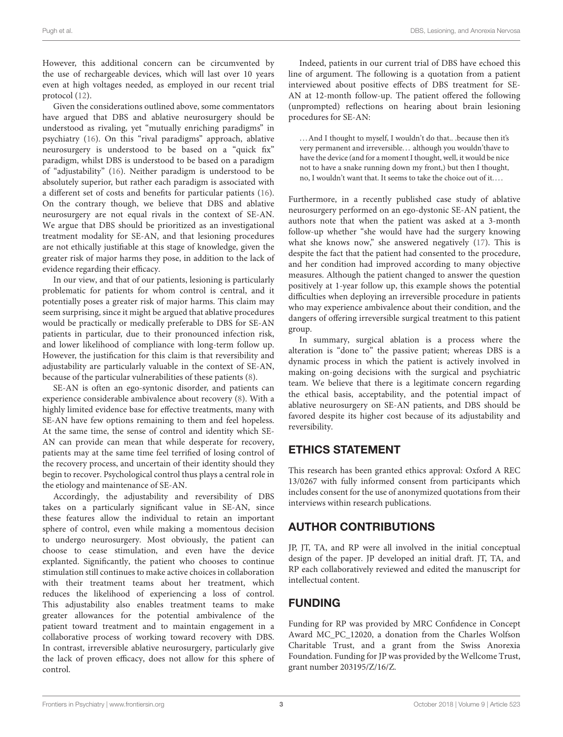However, this additional concern can be circumvented by the use of rechargeable devices, which will last over 10 years even at high voltages needed, as employed in our recent trial protocol [\(12\)](#page-3-11).

Given the considerations outlined above, some commentators have argued that DBS and ablative neurosurgery should be understood as rivaling, yet "mutually enriching paradigms" in psychiatry [\(16\)](#page-3-15). On this "rival paradigms" approach, ablative neurosurgery is understood to be based on a "quick fix" paradigm, whilst DBS is understood to be based on a paradigm of "adjustability" [\(16\)](#page-3-15). Neither paradigm is understood to be absolutely superior, but rather each paradigm is associated with a different set of costs and benefits for particular patients [\(16\)](#page-3-15). On the contrary though, we believe that DBS and ablative neurosurgery are not equal rivals in the context of SE-AN. We argue that DBS should be prioritized as an investigational treatment modality for SE-AN, and that lesioning procedures are not ethically justifiable at this stage of knowledge, given the greater risk of major harms they pose, in addition to the lack of evidence regarding their efficacy.

In our view, and that of our patients, lesioning is particularly problematic for patients for whom control is central, and it potentially poses a greater risk of major harms. This claim may seem surprising, since it might be argued that ablative procedures would be practically or medically preferable to DBS for SE-AN patients in particular, due to their pronounced infection risk, and lower likelihood of compliance with long-term follow up. However, the justification for this claim is that reversibility and adjustability are particularly valuable in the context of SE-AN, because of the particular vulnerabilities of these patients [\(8\)](#page-3-7).

SE-AN is often an ego-syntonic disorder, and patients can experience considerable ambivalence about recovery [\(8\)](#page-3-7). With a highly limited evidence base for effective treatments, many with SE-AN have few options remaining to them and feel hopeless. At the same time, the sense of control and identity which SE-AN can provide can mean that while desperate for recovery, patients may at the same time feel terrified of losing control of the recovery process, and uncertain of their identity should they begin to recover. Psychological control thus plays a central role in the etiology and maintenance of SE-AN.

Accordingly, the adjustability and reversibility of DBS takes on a particularly significant value in SE-AN, since these features allow the individual to retain an important sphere of control, even while making a momentous decision to undergo neurosurgery. Most obviously, the patient can choose to cease stimulation, and even have the device explanted. Significantly, the patient who chooses to continue stimulation still continues to make active choices in collaboration with their treatment teams about her treatment, which reduces the likelihood of experiencing a loss of control. This adjustability also enables treatment teams to make greater allowances for the potential ambivalence of the patient toward treatment and to maintain engagement in a collaborative process of working toward recovery with DBS. In contrast, irreversible ablative neurosurgery, particularly give the lack of proven efficacy, does not allow for this sphere of control.

Indeed, patients in our current trial of DBS have echoed this line of argument. The following is a quotation from a patient interviewed about positive effects of DBS treatment for SE-AN at 12-month follow-up. The patient offered the following (unprompted) reflections on hearing about brain lesioning procedures for SE-AN:

. . .And I thought to myself, I wouldn't do that.. .because then it's very permanent and irreversible. . . although you wouldn'thave to have the device (and for a moment I thought, well, it would be nice not to have a snake running down my front,) but then I thought, no, I wouldn't want that. It seems to take the choice out of it. . . .

Furthermore, in a recently published case study of ablative neurosurgery performed on an ego-dystonic SE-AN patient, the authors note that when the patient was asked at a 3-month follow-up whether "she would have had the surgery knowing what she knows now," she answered negatively [\(17\)](#page-3-16). This is despite the fact that the patient had consented to the procedure, and her condition had improved according to many objective measures. Although the patient changed to answer the question positively at 1-year follow up, this example shows the potential difficulties when deploying an irreversible procedure in patients who may experience ambivalence about their condition, and the dangers of offering irreversible surgical treatment to this patient group.

In summary, surgical ablation is a process where the alteration is "done to" the passive patient; whereas DBS is a dynamic process in which the patient is actively involved in making on-going decisions with the surgical and psychiatric team. We believe that there is a legitimate concern regarding the ethical basis, acceptability, and the potential impact of ablative neurosurgery on SE-AN patients, and DBS should be favored despite its higher cost because of its adjustability and reversibility.

### ETHICS STATEMENT

This research has been granted ethics approval: Oxford A REC 13/0267 with fully informed consent from participants which includes consent for the use of anonymized quotations from their interviews within research publications.

# AUTHOR CONTRIBUTIONS

JP, JT, TA, and RP were all involved in the initial conceptual design of the paper. JP developed an initial draft. JT, TA, and RP each collaboratively reviewed and edited the manuscript for intellectual content.

# FUNDING

Funding for RP was provided by MRC Confidence in Concept Award MC\_PC\_12020, a donation from the Charles Wolfson Charitable Trust, and a grant from the Swiss Anorexia Foundation. Funding for JP was provided by the Wellcome Trust, grant number 203195/Z/16/Z.